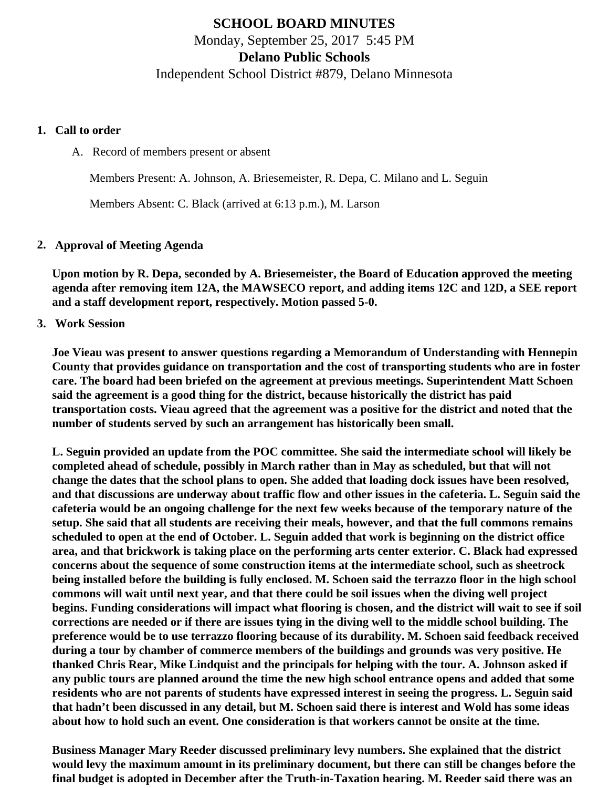## **SCHOOL BOARD MINUTES** Monday, September 25, 2017 5:45 PM **Delano Public Schools** Independent School District #879, Delano Minnesota

#### **1. Call to order**

A. Record of members present or absent

Members Present: A. Johnson, A. Briesemeister, R. Depa, C. Milano and L. Seguin

Members Absent: C. Black (arrived at 6:13 p.m.), M. Larson

### **2. Approval of Meeting Agenda**

**Upon motion by R. Depa, seconded by A. Briesemeister, the Board of Education approved the meeting agenda after removing item 12A, the MAWSECO report, and adding items 12C and 12D, a SEE report and a staff development report, respectively. Motion passed 5-0.**

**3. Work Session**

**Joe Vieau was present to answer questions regarding a Memorandum of Understanding with Hennepin County that provides guidance on transportation and the cost of transporting students who are in foster care. The board had been briefed on the agreement at previous meetings. Superintendent Matt Schoen said the agreement is a good thing for the district, because historically the district has paid transportation costs. Vieau agreed that the agreement was a positive for the district and noted that the number of students served by such an arrangement has historically been small.**

**L. Seguin provided an update from the POC committee. She said the intermediate school will likely be completed ahead of schedule, possibly in March rather than in May as scheduled, but that will not change the dates that the school plans to open. She added that loading dock issues have been resolved, and that discussions are underway about traffic flow and other issues in the cafeteria. L. Seguin said the cafeteria would be an ongoing challenge for the next few weeks because of the temporary nature of the setup. She said that all students are receiving their meals, however, and that the full commons remains scheduled to open at the end of October. L. Seguin added that work is beginning on the district office area, and that brickwork is taking place on the performing arts center exterior. C. Black had expressed concerns about the sequence of some construction items at the intermediate school, such as sheetrock being installed before the building is fully enclosed. M. Schoen said the terrazzo floor in the high school commons will wait until next year, and that there could be soil issues when the diving well project begins. Funding considerations will impact what flooring is chosen, and the district will wait to see if soil corrections are needed or if there are issues tying in the diving well to the middle school building. The preference would be to use terrazzo flooring because of its durability. M. Schoen said feedback received during a tour by chamber of commerce members of the buildings and grounds was very positive. He thanked Chris Rear, Mike Lindquist and the principals for helping with the tour. A. Johnson asked if any public tours are planned around the time the new high school entrance opens and added that some residents who are not parents of students have expressed interest in seeing the progress. L. Seguin said that hadn't been discussed in any detail, but M. Schoen said there is interest and Wold has some ideas about how to hold such an event. One consideration is that workers cannot be onsite at the time.**

**Business Manager Mary Reeder discussed preliminary levy numbers. She explained that the district would levy the maximum amount in its preliminary document, but there can still be changes before the final budget is adopted in December after the Truth-in-Taxation hearing. M. Reeder said there was an**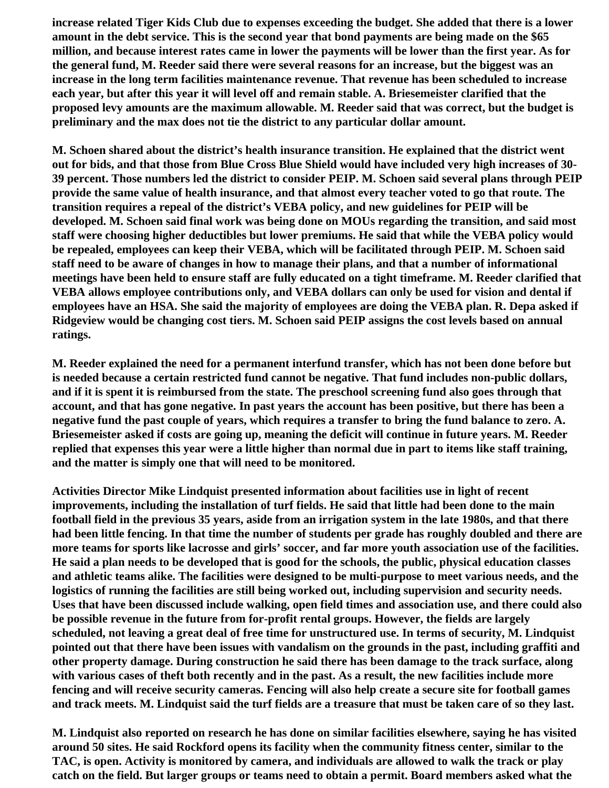**increase related Tiger Kids Club due to expenses exceeding the budget. She added that there is a lower amount in the debt service. This is the second year that bond payments are being made on the \$65 million, and because interest rates came in lower the payments will be lower than the first year. As for the general fund, M. Reeder said there were several reasons for an increase, but the biggest was an increase in the long term facilities maintenance revenue. That revenue has been scheduled to increase each year, but after this year it will level off and remain stable. A. Briesemeister clarified that the proposed levy amounts are the maximum allowable. M. Reeder said that was correct, but the budget is preliminary and the max does not tie the district to any particular dollar amount.**

**M. Schoen shared about the district's health insurance transition. He explained that the district went out for bids, and that those from Blue Cross Blue Shield would have included very high increases of 30- 39 percent. Those numbers led the district to consider PEIP. M. Schoen said several plans through PEIP provide the same value of health insurance, and that almost every teacher voted to go that route. The transition requires a repeal of the district's VEBA policy, and new guidelines for PEIP will be developed. M. Schoen said final work was being done on MOUs regarding the transition, and said most staff were choosing higher deductibles but lower premiums. He said that while the VEBA policy would be repealed, employees can keep their VEBA, which will be facilitated through PEIP. M. Schoen said staff need to be aware of changes in how to manage their plans, and that a number of informational meetings have been held to ensure staff are fully educated on a tight timeframe. M. Reeder clarified that VEBA allows employee contributions only, and VEBA dollars can only be used for vision and dental if employees have an HSA. She said the majority of employees are doing the VEBA plan. R. Depa asked if Ridgeview would be changing cost tiers. M. Schoen said PEIP assigns the cost levels based on annual ratings.**

**M. Reeder explained the need for a permanent interfund transfer, which has not been done before but is needed because a certain restricted fund cannot be negative. That fund includes non-public dollars, and if it is spent it is reimbursed from the state. The preschool screening fund also goes through that account, and that has gone negative. In past years the account has been positive, but there has been a negative fund the past couple of years, which requires a transfer to bring the fund balance to zero. A. Briesemeister asked if costs are going up, meaning the deficit will continue in future years. M. Reeder replied that expenses this year were a little higher than normal due in part to items like staff training, and the matter is simply one that will need to be monitored.**

**Activities Director Mike Lindquist presented information about facilities use in light of recent improvements, including the installation of turf fields. He said that little had been done to the main football field in the previous 35 years, aside from an irrigation system in the late 1980s, and that there had been little fencing. In that time the number of students per grade has roughly doubled and there are more teams for sports like lacrosse and girls' soccer, and far more youth association use of the facilities. He said a plan needs to be developed that is good for the schools, the public, physical education classes and athletic teams alike. The facilities were designed to be multi-purpose to meet various needs, and the logistics of running the facilities are still being worked out, including supervision and security needs. Uses that have been discussed include walking, open field times and association use, and there could also be possible revenue in the future from for-profit rental groups. However, the fields are largely scheduled, not leaving a great deal of free time for unstructured use. In terms of security, M. Lindquist pointed out that there have been issues with vandalism on the grounds in the past, including graffiti and other property damage. During construction he said there has been damage to the track surface, along with various cases of theft both recently and in the past. As a result, the new facilities include more fencing and will receive security cameras. Fencing will also help create a secure site for football games and track meets. M. Lindquist said the turf fields are a treasure that must be taken care of so they last.**

**M. Lindquist also reported on research he has done on similar facilities elsewhere, saying he has visited around 50 sites. He said Rockford opens its facility when the community fitness center, similar to the TAC, is open. Activity is monitored by camera, and individuals are allowed to walk the track or play catch on the field. But larger groups or teams need to obtain a permit. Board members asked what the**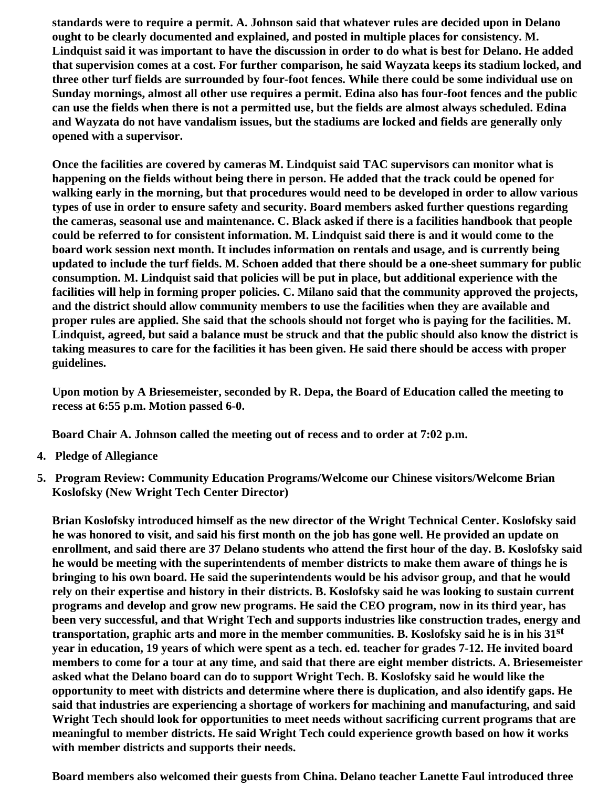**standards were to require a permit. A. Johnson said that whatever rules are decided upon in Delano ought to be clearly documented and explained, and posted in multiple places for consistency. M. Lindquist said it was important to have the discussion in order to do what is best for Delano. He added that supervision comes at a cost. For further comparison, he said Wayzata keeps its stadium locked, and three other turf fields are surrounded by four-foot fences. While there could be some individual use on Sunday mornings, almost all other use requires a permit. Edina also has four-foot fences and the public can use the fields when there is not a permitted use, but the fields are almost always scheduled. Edina and Wayzata do not have vandalism issues, but the stadiums are locked and fields are generally only opened with a supervisor.**

**Once the facilities are covered by cameras M. Lindquist said TAC supervisors can monitor what is happening on the fields without being there in person. He added that the track could be opened for walking early in the morning, but that procedures would need to be developed in order to allow various types of use in order to ensure safety and security. Board members asked further questions regarding the cameras, seasonal use and maintenance. C. Black asked if there is a facilities handbook that people could be referred to for consistent information. M. Lindquist said there is and it would come to the board work session next month. It includes information on rentals and usage, and is currently being updated to include the turf fields. M. Schoen added that there should be a one-sheet summary for public consumption. M. Lindquist said that policies will be put in place, but additional experience with the facilities will help in forming proper policies. C. Milano said that the community approved the projects, and the district should allow community members to use the facilities when they are available and proper rules are applied. She said that the schools should not forget who is paying for the facilities. M. Lindquist, agreed, but said a balance must be struck and that the public should also know the district is taking measures to care for the facilities it has been given. He said there should be access with proper guidelines.**

**Upon motion by A Briesemeister, seconded by R. Depa, the Board of Education called the meeting to recess at 6:55 p.m. Motion passed 6-0.**

**Board Chair A. Johnson called the meeting out of recess and to order at 7:02 p.m.**

- **4. Pledge of Allegiance**
- **5. Program Review: Community Education Programs/Welcome our Chinese visitors/Welcome Brian Koslofsky (New Wright Tech Center Director)**

**Brian Koslofsky introduced himself as the new director of the Wright Technical Center. Koslofsky said he was honored to visit, and said his first month on the job has gone well. He provided an update on enrollment, and said there are 37 Delano students who attend the first hour of the day. B. Koslofsky said he would be meeting with the superintendents of member districts to make them aware of things he is bringing to his own board. He said the superintendents would be his advisor group, and that he would rely on their expertise and history in their districts. B. Koslofsky said he was looking to sustain current programs and develop and grow new programs. He said the CEO program, now in its third year, has been very successful, and that Wright Tech and supports industries like construction trades, energy and transportation, graphic arts and more in the member communities. B. Koslofsky said he is in his 31st year in education, 19 years of which were spent as a tech. ed. teacher for grades 7-12. He invited board members to come for a tour at any time, and said that there are eight member districts. A. Briesemeister asked what the Delano board can do to support Wright Tech. B. Koslofsky said he would like the opportunity to meet with districts and determine where there is duplication, and also identify gaps. He said that industries are experiencing a shortage of workers for machining and manufacturing, and said Wright Tech should look for opportunities to meet needs without sacrificing current programs that are meaningful to member districts. He said Wright Tech could experience growth based on how it works with member districts and supports their needs.**

**Board members also welcomed their guests from China. Delano teacher Lanette Faul introduced three**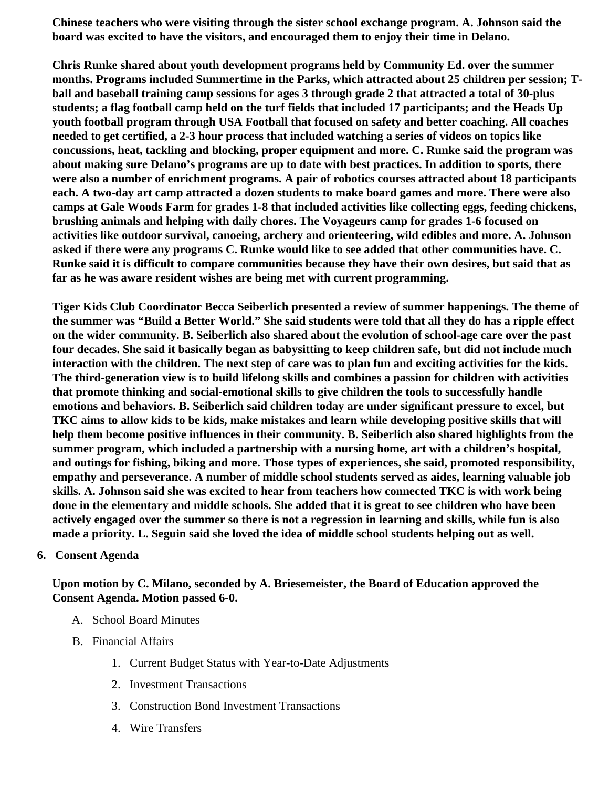Chinese teachers who were visiting through the sister school exchange program. A. Johnson said the board was excited to have the visitors, and encouraged them to enjoy their time in Delano.

Chris Runke shared about youth development programs held by Community Ed. over the summer months. Programs included Summertime in the Parks, which attracted about 25 children per session; Tball and baseball training camp sessions for ages 3 through grade 2 that attracted a total of 30-plus students; a flag football camp held on the turf fields that included 17 participants; and the Heads Up youth football program through USA Football that focused on safety and better coaching. All coaches needed to get certified, a 2-3 hour process that included watching a series of videos on topics like concussions, heat, tackling and blocking, proper equipment and more. C. Runke said the program was about making sure Delano's programs are up to date with best practices. In addition to sports, there were also a number of enrichment programs. A pair of robotics courses attracted about 18 participants each. A two-day art camp attracted a dozen students to make board games and more. There were also camps at Gale Woods Farm for grades 1-8 that included activities like collecting eggs, feeding chickens, brushing animals and helping with daily chores. The Voyageurs camp for grades 1-6 focused on activities like outdoor survival, canoeing, archery and orienteering, wild edibles and more. A. Johnson asked if there were any programs C. Runke would like to see added that other communities have. C. Runke said it is difficult to compare communities because they have their own desires, but said that as far as he was aware resident wishes are being met with current programming.

Tiger Kids Club Coordinator Becca Seiberlich presented a review of summer happenings. The theme of the summer was "Build a Better World." She said students were told that all they do has a ripple effect on the wider community. B. Seiberlich also shared about the evolution of school-age care over the past four decades. She said it basically began as babysitting to keep children safe, but did not include much interaction with the children. The next step of care was to plan fun and exciting activities for the kids. The third-generation view is to build lifelong skills and combines a passion for children with activities that promote thinking and social-emotional skills to give children the tools to successfully handle emotions and behaviors. B. Seiberlich said children today are under significant pressure to excel, but TKC aims to allow kids to be kids, make mistakes and learn while developing positive skills that will help them become positive influences in their community. B. Seiberlich also shared highlights from the summer program, which included a partnership with a nursing home, art with a children's hospital, and outings for fishing, biking and more. Those types of experiences, she said, promoted responsibility, empathy and perseverance. A number of middle school students served as aides, learning valuable job skills. A. Johnson said she was excited to hear from teachers how connected TKC is with work being done in the elementary and middle schools. She added that it is great to see children who have been actively engaged over the summer so there is not a regression in learning and skills, while fun is also made a priority. L. Seguin said she loved the idea of middle school students helping out as well.

### 6. Consent Agenda

Upon motion by C. Milano, seconded by A. Briesemeister, the Board of Education approved the Consent Agenda. Motion passed 6-0.

- A. [School Board Minute](http://www.delano.k12.mn.us/pb/app/agenda/minutes/157)s
- B. Financial Affairs
	- 1. [Current Budget Status with Year-to-Date Adjustm](/docs/district/Business_Office/FY18_Budget_Report_Sept.pdf)ents
	- 2. [Investment Transactio](/docs/district/Business_Office/August_2017_Investments.pdf)ns
	- 3. [Construction Bond Investment Transacti](/docs/district/Business_Office/Bond_Investment_schedule_Aug_17.pdf)ons
	- 4. [Wire Transfer](/docs/district/Business_Office/August_2017_Wire_Transfer.pdf)s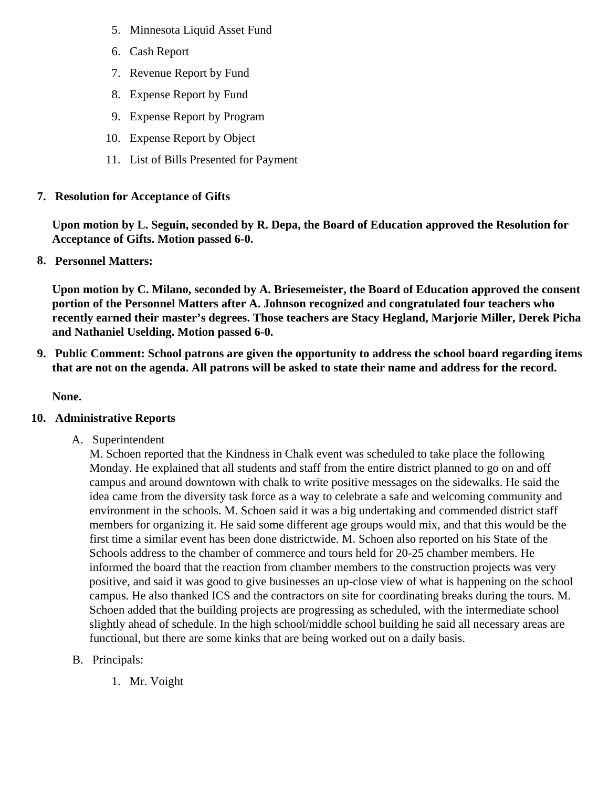- 5. [Minnesota Liquid Asset Fun](/docs/district/Business_Office/August_2017_LAF.pdf)d
- 6. [Cash Repo](/docs/district/Business_Office/August_2017_Cash_Report.pdf)rt
- 7. [Revenue Report by Fu](/docs/district/Business_Office/SCHOOL_BOARD_REPORTS_-_REVENUE_BY_FUND_TOTAL__(Date__6_2018).pdf)nd
- 8. [Expense Report by Fu](/docs/district/Business_Office/SCHOOL_BOARD_REPORTS_-_EXP_BY_FUND_TOTAL__(Date__6_2018).pdf)nd
- 9. [Expense Report by Progra](/docs/district/Business_Office/SCHOOL_BOARD_REPORTS_-_EXPENDITURES_BY_PROGRAM__(Date__6_2018).pdf)m
- 10. [Expense Report by Obje](/docs/district/Business_Office/SCHOOL_BOARD_REPORTS_-_EXPENDITURES_BY_OBJECT__(Date__6_2018).pdf)ct
- 11. [List of Bills Presented for Payme](/docs/district/Business_Office/Bills_Paid.pdf)nt
- 7. [Resolution for Acceptance of Gifts](/docs/district/Business_Office/Resolution_for_Acceptance_of_Gifts_9.25.17.pdf)

Upon motion by L. Seguin, seconded by R. Depa, the Board of Education approved the Resolution for Acceptance of Gifts. Motion passed 6-0.

8. [Personnel Matters:](/docs/district/Business_Office/09.25.17.pdf)

Upon motion by C. Milano, seconded by A. Briesemeister, the Board of Education approved the consent portion of the Personnel Matters after A. Johnson recognized and congratulated four teachers who recently earned their master's degrees. Those teachers are Stacy Hegland, Marjorie Miller, Derek Picha and Nathaniel Uselding. Motion passed 6-0.

9. Public Comment: School patrons are given the opportunity to address the school board regarding items that are not on the agenda. All patrons will be asked to state their name and address for the record.

None.

- 10. Administrative Reports
	- A. Superintendent

M. Schoen reported that the Kindness in Chalk event was scheduled to take place the following Monday. He explained that all students and staff from the entire district planned to go on and off campus and around downtown with chalk to write positive messages on the sidewalks. He said the idea came from the diversity task force as a way to celebrate a safe and welcoming community and environment in the schools. M. Schoen said it was a big undertaking and commended district staff members for organizing it. He said some different age groups would mix, and that this would be the first time a similar event has been done districtwide. M. Schoen also reported on his State of the Schools address to the chamber of commerce and tours held for 20-25 chamber members. He informed the board that the reaction from chamber members to the construction projects was very positive, and said it was good to give businesses an up-close view of what is happening on the school campus. He also thanked ICS and the contractors on site for coordinating breaks during the tours. Schoen added that the building projects are progressing as scheduled, with the intermediate school slightly ahead of schedule. In the high school/middle school building he said all necessary areas ar functional, but there are some kinks that are being worked out on a daily basis.

- B. Principals:
	- 1. Mr. Voight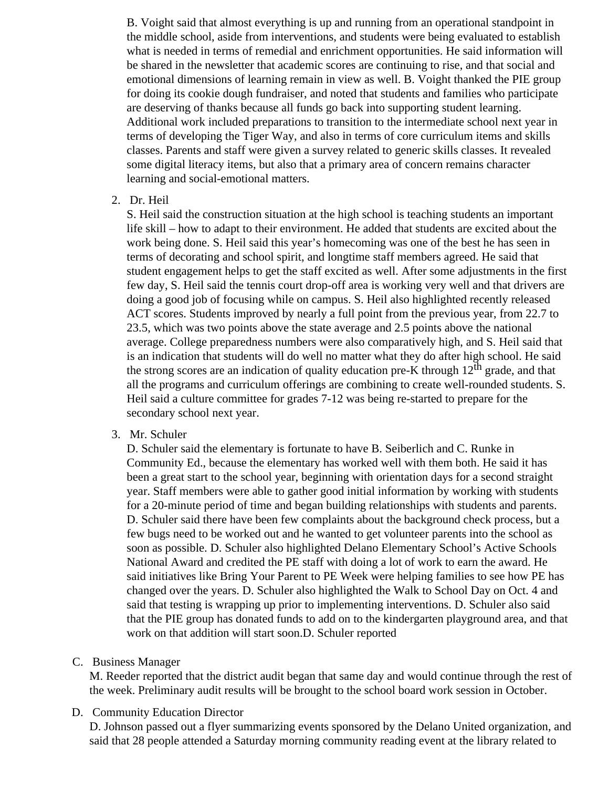B. Voight said that almost everything is up and running from an operational standpoint in the middle school, aside from interventions, and students were being evaluated to establish what is needed in terms of remedial and enrichment opportunities. He said information will be shared in the newsletter that academic scores are continuing to rise, and that social and emotional dimensions of learning remain in view as well. B. Voight thanked the PIE group for doing its cookie dough fundraiser, and noted that students and families who participate are deserving of thanks because all funds go back into supporting student learning. Additional work included preparations to transition to the intermediate school next year in terms of developing the Tiger Way, and also in terms of core curriculum items and skills classes. Parents and staff were given a survey related to generic skills classes. It revealed some digital literacy items, but also that a primary area of concern remains character learning and social-emotional matters.

2. Dr. Heil

S. Heil said the construction situation at the high school is teaching students an important life skill – how to adapt to their environment. He added that students are excited about the work being done. S. Heil said this year's homecoming was one of the best he has seen in terms of decorating and school spirit, and longtime staff members agreed. He said that student engagement helps to get the staff excited as well. After some adjustments in the first few day, S. Heil said the tennis court drop-off area is working very well and that drivers are doing a good job of focusing while on campus. S. Heil also highlighted recently released ACT scores. Students improved by nearly a full point from the previous year, from 22.7 to 23.5, which was two points above the state average and 2.5 points above the national average. College preparedness numbers were also comparatively high, and S. Heil said that is an indication that students will do well no matter what they do after high school. He said the strong scores are an indication of quality education pre-K through  $12<sup>th</sup>$  grade, and that all the programs and curriculum offerings are combining to create well-rounded students. S. Heil said a culture committee for grades 7-12 was being re-started to prepare for the secondary school next year.

3. Mr. Schuler

D. Schuler said the elementary is fortunate to have B. Seiberlich and C. Runke in Community Ed., because the elementary has worked well with them both. He said it has been a great start to the school year, beginning with orientation days for a second straight year. Staff members were able to gather good initial information by working with students for a 20-minute period of time and began building relationships with students and parents. D. Schuler said there have been few complaints about the background check process, but a few bugs need to be worked out and he wanted to get volunteer parents into the school as soon as possible. D. Schuler also highlighted Delano Elementary School's Active Schools National Award and credited the PE staff with doing a lot of work to earn the award. He said initiatives like Bring Your Parent to PE Week were helping families to see how PE has changed over the years. D. Schuler also highlighted the Walk to School Day on Oct. 4 and said that testing is wrapping up prior to implementing interventions. D. Schuler also said that the PIE group has donated funds to add on to the kindergarten playground area, and that work on that addition will start soon.D. Schuler reported

C. Business Manager

M. Reeder reported that the district audit began that same day and would continue through the rest of the week. Preliminary audit results will be brought to the school board work session in October.

D. Community Education Director

D. Johnson passed out a flyer summarizing events sponsored by the Delano United organization, and said that 28 people attended a Saturday morning community reading event at the library related to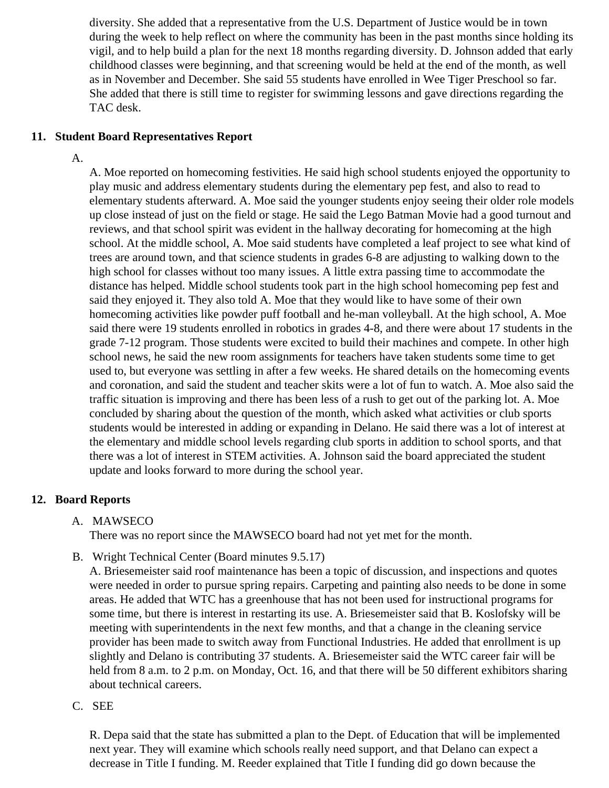diversity. She added that a representative from the U.S. Department of Justice would be in town during the week to help reflect on where the community has been in the past months since holding vigil, and to help build a plan for the next 18 months regarding diversity. D. Johnson added that ear childhood classes were beginning, and that screening would be held at the end of the month, as we as in November and December. She said 55 students have enrolled in Wee Tiger Preschool so far. She added that there is still time to register for swimming lessons and gave directions regarding the TAC desk.

11. Student Board Representatives Report

A.

A. Moe reported on homecoming festivities. He said high school students enjoyed the opportunity to play music and address elementary students during the elementary pep fest, and also to read to elementary students afterward. A. Moe said the younger students enjoy seeing their older role model up close instead of just on the field or stage. He said the Lego Batman Movie had a good turnout a reviews, and that school spirit was evident in the hallway decorating for homecoming at the high school. At the middle school, A. Moe said students have completed a leaf project to see what kind trees are around town, and that science students in grades 6-8 are adjusting to walking down to the high school for classes without too many issues. A little extra passing time to accommodate the distance has helped. Middle school students took part in the high school homecoming pep fest and said they enjoyed it. They also told A. Moe that they would like to have some of their own homecoming activities like powder puff football and he-man volleyball. At the high school, A. Moe said there were 19 students enrolled in robotics in grades 4-8, and there were about 17 students in grade 7-12 program. Those students were excited to build their machines and compete. In other high school news, he said the new room assignments for teachers have taken students some time to ge used to, but everyone was settling in after a few weeks. He shared details on the homecoming eve and coronation, and said the student and teacher skits were a lot of fun to watch. A. Moe also said the traffic situation is improving and there has been less of a rush to get out of the parking lot. A. Moe concluded by sharing about the question of the month, which asked what activities or club sports students would be interested in adding or expanding in Delano. He said there was a lot of interest at the elementary and middle school levels regarding club sports in addition to school sports, and that there was a lot of interest in STEM activities. A. Johnson said the board appreciated the student update and looks forward to more during the school year.

### 12. Board Reports

A. MAWSECO

There was no report since the MAWSECO board had not yet met for the month.

B. Wright Technical Center Board minutes 9.5.17

A. Briesemeister said roof maintenance has been a topic of discussion, and inspections and quote were needed in order to pursue spring repairs. Carpeting and painting also needs to be done in som areas. He added that WTC has a greenhouse that has not been used for instructional programs for some time, but there is interest in restarting its use. A. Briesemeister said that B. Koslofsky will be meeting with superintendents in the next few months, and that a change in the cleaning service provider has been made to switch away from Functional Industries. He added that enrollment is up slightly and Delano is contributing 37 students. A. Briesemeister said the WTC career fair will be held from 8 a.m. to 2 p.m. on Monday, Oct. 16, and that there will be 50 different exhibitors sharing about technical careers.

C. SEE

R. Depa said that the state has submitted a plan to the Dept. of Education that will be implemented next year. They will examine which schools really need support, and that Delano can expect a decrease in Title I funding. M. Reeder explained that Title I funding did go down because the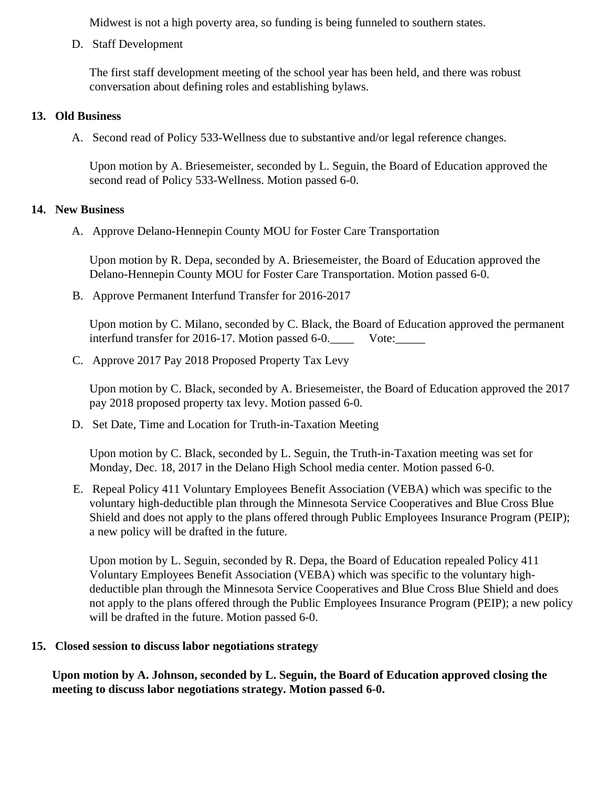Midwest is not a high poverty area, so funding is being funneled to southern states.

D. Staff Development

The first staff development meeting of the school year has been held, and there was robust conversation about defining roles and establishing bylaws.

- 13. Old Business
	- A. Second read of Policy 533-Wellness due to substantive and/or legal reference changes.

Upon motion by A. Briesemeister, seconded by L. Seguin, the Board of Education approved the second read of Policy 533-Wellness. Motion passed 6-0.

### 14. New Business

A. Approve [Delano-Hennepin County MO](http://www.delano.k12.mn.us/docs/district/2017_18/School_Board_Items/September_2017/Revised_Delano_MOU_-_Final.pdf)Lfroster Care Transportation

Upon motion by R. Depa, seconded by A. Briesemeister, the Board of Education approved the Delano-Hennepin County MOU for Foster Care Transportation. Motion passed 6-0.

B. Approve [Permanent Interfund Trans](/docs/district/Business_Office/Interfund_Transfer_for_FY17.pdf)fer2016-2017

Upon motion by C. Milano, seconded by C. Black, the Board of Education approved the permanent interfund transfer for 2016-17. Motion passed 6-0. Cancelled Vote:

C. Approv[e 2017 Pay 2018 Proposed Property Tax L](/docs/district/Business_Office/Proposed_Levy_Info_9.25.17.pdf)evy

Upon motion by C. Black, seconded by A. Briesemeister, the Board of Education approved the 2017 pay 2018 proposed property tax levy. Motion passed 6-0.

D. Set Date, Time and Location for Truth-in-Taxation Meeting

Upon motion by C. Black, seconded by L. Seguin, the Truth-in-Taxation meeting was set for Monday, Dec. 18, 2017 in the Delano High School media center. Motion passed 6-0.

E. Repeal Policy 411 Voluntary Employees Benefit Association (VEBA) which was specific to the voluntary high-deductible plan through the Minnesota Service Cooperatives and Blue Cross Blue Shield and does not apply to the plans offered through Public Employees Insurance Program (PEII a new policy will be drafted in the future.

Upon motion by L. Seguin, seconded by R. Depa, the Board of Education repealed Policy 411 Voluntary Employees Benefit Association (VEBA) which was specific to the voluntary highdeductible plan through the Minnesota Service Cooperatives and Blue Cross Blue Shield and does not apply to the plans offered through the Public Employees Insurance Program (PEIP); a new poli will be drafted in the future. Motion passed 6-0.

15. Closed session to discuss labor negotiations strategy

Upon motion by A. Johnson, seconded by L. Seguin, the Board of Education approved closing the meeting to discuss labor negotiations strategy. Motion passed 6-0.